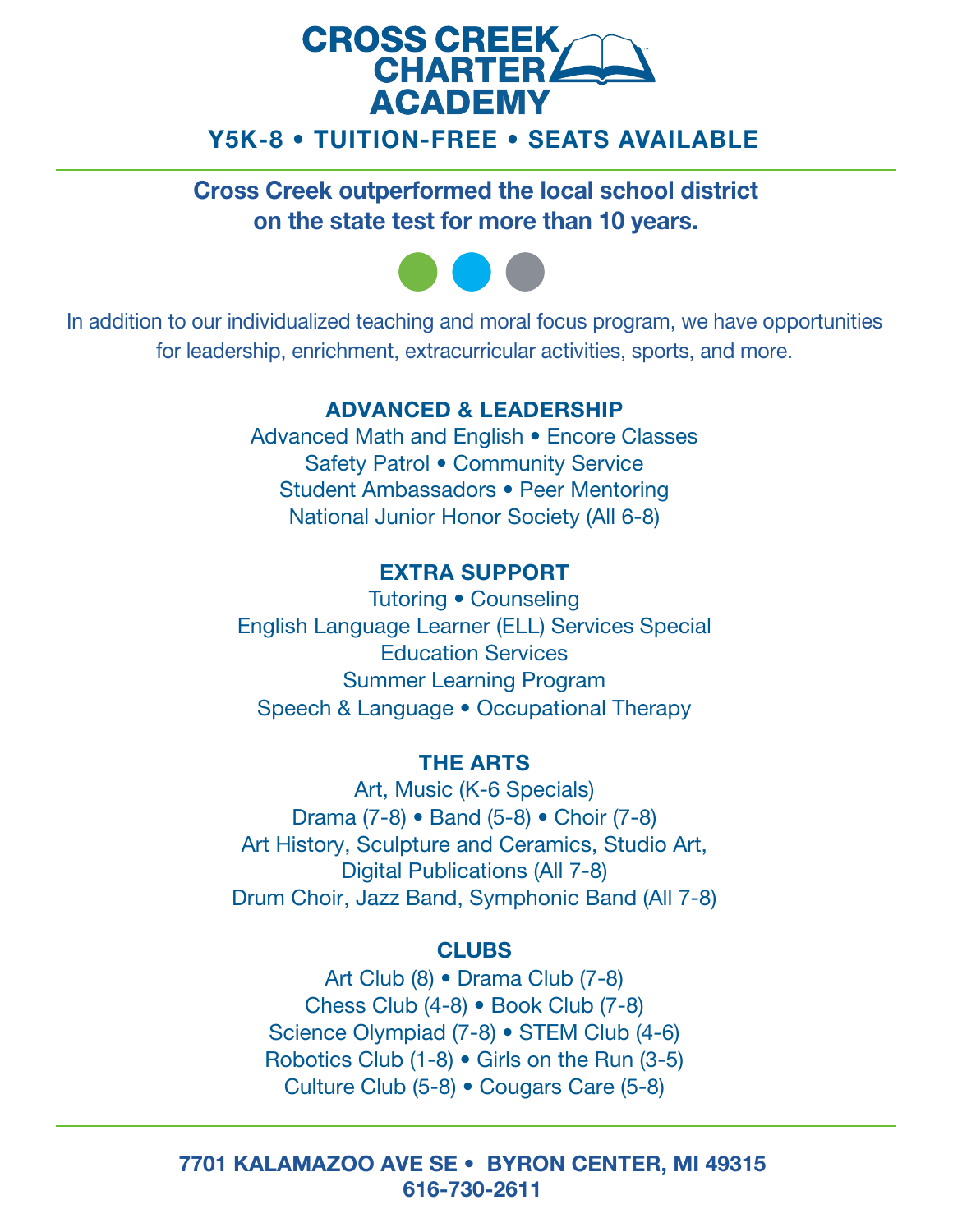## **CROSS CREEK CHARTER ACADEMY** Y5K-8 • TUITION-FREE • SEATS AVAILABLE

Cross Creek outperformed the local school district on the state test for more than 10 years.



In addition to our individualized teaching and moral focus program, we have opportunities for leadership, enrichment, extracurricular activities, sports, and more.

### ADVANCED & LEADERSHIP

Advanced Math and English • Encore Classes Safety Patrol • Community Service Student Ambassadors • Peer Mentoring National Junior Honor Society (All 6-8)

### EXTRA SUPPORT

 Education Services Tutoring • Counseling English Language Learner (ELL) Services Special Summer Learning Program Speech & Language • Occupational Therapy

### THE ARTS

Art, Music (K-6 Specials) Drama (7-8) • Band (5-8) • Choir (7-8) Art History, Sculpture and Ceramics, Studio Art, Digital Publications (All 7-8) Drum Choir, Jazz Band, Symphonic Band (All 7-8)

#### **CLUBS**

Art Club (8) • Drama Club (7-8) Chess Club (4-8) • Book Club (7-8) Science Olympiad (7-8) • STEM Club (4-6) Robotics Club (1-8) • Girls on the Run (3-5) Culture Club (5-8) • Cougars Care (5-8)

7701 KALAMAZOO AVE SE • BYRON CENTER, MI 49315 616-730-2611